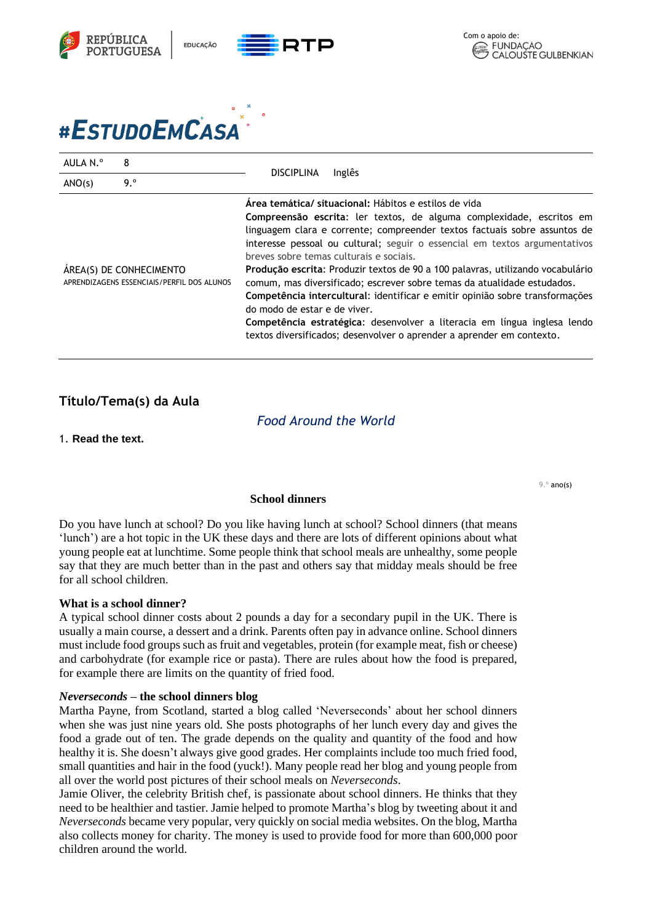

# #ESTUDOEMCASA

| AULA N.º                                                              | 8   |                                                                                                                                                                                                                                                                                                                                                                                                                                                                                                                                                                                                                                                                                                                                                                       |  |
|-----------------------------------------------------------------------|-----|-----------------------------------------------------------------------------------------------------------------------------------------------------------------------------------------------------------------------------------------------------------------------------------------------------------------------------------------------------------------------------------------------------------------------------------------------------------------------------------------------------------------------------------------------------------------------------------------------------------------------------------------------------------------------------------------------------------------------------------------------------------------------|--|
| ANO(s)                                                                | 9.° | <b>DISCIPLINA</b><br>Inglês                                                                                                                                                                                                                                                                                                                                                                                                                                                                                                                                                                                                                                                                                                                                           |  |
| ÁREA(S) DE CONHECIMENTO<br>APRENDIZAGENS ESSENCIAIS/PERFIL DOS ALUNOS |     | Área temática/ situacional: Hábitos e estilos de vida<br>Compreensão escrita: ler textos, de alguma complexidade, escritos em<br>linguagem clara e corrente; compreender textos factuais sobre assuntos de<br>interesse pessoal ou cultural; seguir o essencial em textos argumentativos<br>breves sobre temas culturais e sociais.<br>Produção escrita: Produzir textos de 90 a 100 palavras, utilizando vocabulário<br>comum, mas diversificado; escrever sobre temas da atualidade estudados.<br>Competência intercultural: identificar e emitir opinião sobre transformações<br>do modo de estar e de viver.<br>Competência estratégica: desenvolver a literacia em língua inglesa lendo<br>textos diversificados; desenvolver o aprender a aprender em contexto. |  |

## **Título/Tema(s) da Aula**

*Food Around the World*

1. **Read the text.**

9.º ano(s)

#### **School dinners**

Do you have lunch at school? Do you like having lunch at school? School dinners (that means 'lunch') are a hot topic in the UK these days and there are lots of different opinions about what young people eat at lunchtime. Some people think that school meals are unhealthy, some people say that they are much better than in the past and others say that midday meals should be free for all school children.

#### **What is a school dinner?**

A typical school dinner costs about 2 pounds a day for a secondary pupil in the UK. There is usually a main course, a dessert and a drink. Parents often pay in advance online. School dinners must include food groups such as fruit and vegetables, protein (for example meat, fish or cheese) and carbohydrate (for example rice or pasta). There are rules about how the food is prepared, for example there are limits on the quantity of fried food.

#### *Neverseconds* **– the school dinners blog**

Martha Payne, from Scotland, started a blog called 'Neverseconds' about her school dinners when she was just nine years old. She posts photographs of her lunch every day and gives the food a grade out of ten. The grade depends on the quality and quantity of the food and how healthy it is. She doesn't always give good grades. Her complaints include too much fried food, small quantities and hair in the food (yuck!). Many people read her blog and young people from all over the world post pictures of their school meals on *Neverseconds*.

Jamie Oliver, the celebrity British chef, is passionate about school dinners. He thinks that they need to be healthier and tastier. Jamie helped to promote Martha's blog by tweeting about it and *Neverseconds* became very popular, very quickly on social media websites. On the blog, Martha also collects money for charity. The money is used to provide food for more than 600,000 poor children around the world.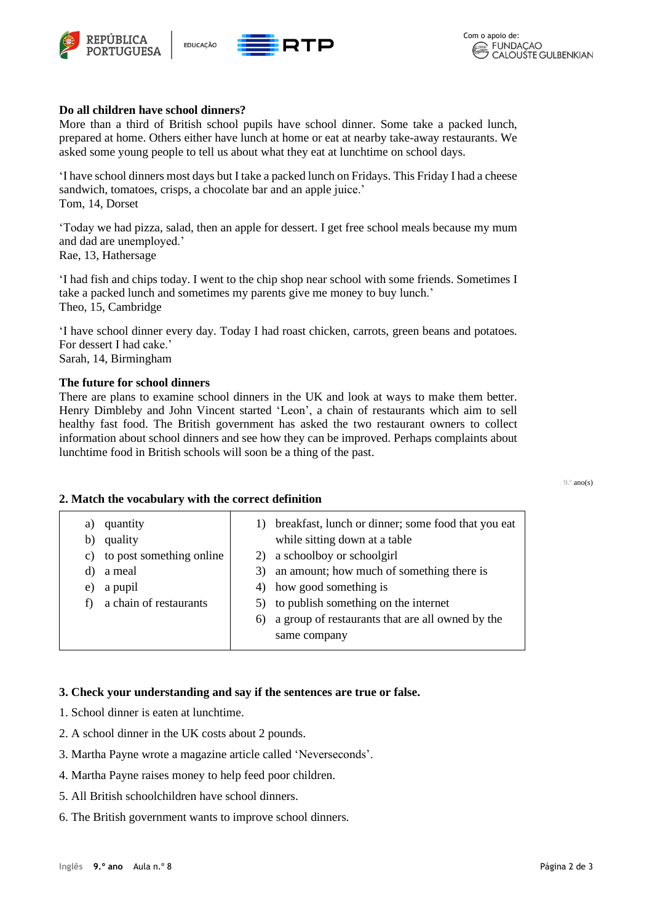





#### **Do all children have school dinners?**

More than a third of British school pupils have school dinner. Some take a packed lunch, prepared at home. Others either have lunch at home or eat at nearby take-away restaurants. We asked some young people to tell us about what they eat at lunchtime on school days.

'I have school dinners most days but I take a packed lunch on Fridays. This Friday I had a cheese sandwich, tomatoes, crisps, a chocolate bar and an apple juice.' Tom, 14, Dorset

'Today we had pizza, salad, then an apple for dessert. I get free school meals because my mum and dad are unemployed.'

Rae, 13, Hathersage

'I had fish and chips today. I went to the chip shop near school with some friends. Sometimes I take a packed lunch and sometimes my parents give me money to buy lunch.' Theo, 15, Cambridge

'I have school dinner every day. Today I had roast chicken, carrots, green beans and potatoes. For dessert I had cake.' Sarah, 14, Birmingham

#### **The future for school dinners**

There are plans to examine school dinners in the UK and look at ways to make them better. Henry Dimbleby and John Vincent started 'Leon', a chain of restaurants which aim to sell healthy fast food. The British government has asked the two restaurant owners to collect information about school dinners and see how they can be improved. Perhaps complaints about lunchtime food in British schools will soon be a thing of the past.

#### 9.º ano(s)

#### **2. Match the vocabulary with the correct definition**

| a)<br>b)<br>C)<br>d)<br>e) | quantity<br>quality<br>to post something online<br>a meal<br>a pupil<br>a chain of restaurants | 3) | 1) breakfast, lunch or dinner; some food that you eat<br>while sitting down at a table<br>a schoolboy or schoolgirl<br>an amount; how much of something there is<br>4) how good something is<br>5) to publish something on the internet<br>6) a group of restaurants that are all owned by the |
|----------------------------|------------------------------------------------------------------------------------------------|----|------------------------------------------------------------------------------------------------------------------------------------------------------------------------------------------------------------------------------------------------------------------------------------------------|
|                            |                                                                                                |    | same company                                                                                                                                                                                                                                                                                   |
|                            |                                                                                                |    |                                                                                                                                                                                                                                                                                                |

#### **3. Check your understanding and say if the sentences are true or false.**

- 1. School dinner is eaten at lunchtime.
- 2. A school dinner in the UK costs about 2 pounds.
- 3. Martha Payne wrote a magazine article called 'Neverseconds'.
- 4. Martha Payne raises money to help feed poor children.
- 5. All British schoolchildren have school dinners.
- 6. The British government wants to improve school dinners.